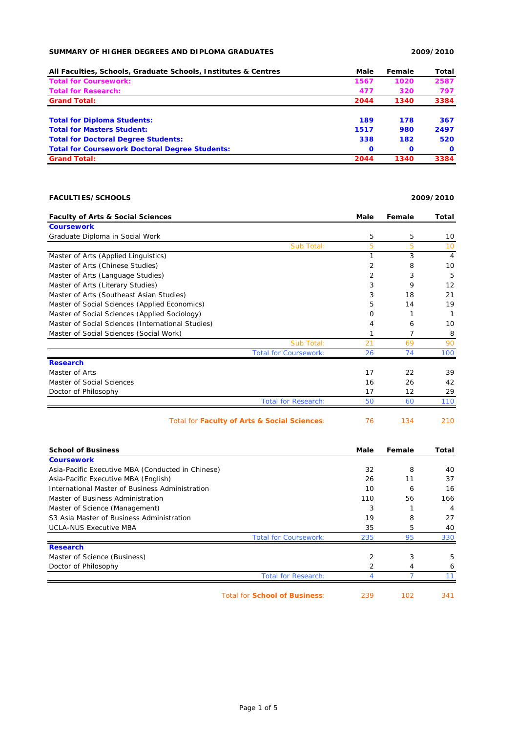## **SUMMARY OF HIGHER DEGREES AND DIPLOMA GRADUATES 2009/2010**

| All Faculties, Schools, Graduate Schools, Institutes & Centres | Male         | Female       | Total        |
|----------------------------------------------------------------|--------------|--------------|--------------|
| <b>Total for Coursework:</b>                                   | 1567         | 1020         | 2587         |
| <b>Total for Research:</b>                                     | 477          | 320          | 797          |
| <b>Grand Total:</b>                                            | 2044         | 1340         | 3384         |
| <b>Total for Diploma Students:</b>                             | 189          | 178          | 367          |
| <b>Total for Masters Student:</b>                              | 1517         | 980          | 2497         |
| <b>Total for Doctoral Degree Students:</b>                     | 338          | 182          | 520          |
| <b>Total for Coursework Doctoral Degree Students:</b>          | $\mathbf{o}$ | $\mathbf{o}$ | $\mathbf{o}$ |
| <b>Grand Total:</b>                                            | 2044         | 1340         | 3384         |

## **FACULTIES/SCHOOLS 2009/2010**

| <b>Faculty of Arts &amp; Social Sciences</b>      | Male           | Female | Total          |
|---------------------------------------------------|----------------|--------|----------------|
| <b>Coursework</b>                                 |                |        |                |
| Graduate Diploma in Social Work                   | 5              | 5      | 10             |
| Sub Total:                                        | 5              | 5      | 10             |
| Master of Arts (Applied Linguistics)              |                | 3      | $\overline{4}$ |
| Master of Arts (Chinese Studies)                  | $\overline{2}$ | 8      | 10             |
| Master of Arts (Language Studies)                 | $\overline{2}$ | 3      | 5              |
| Master of Arts (Literary Studies)                 | 3              | 9      | 12             |
| Master of Arts (Southeast Asian Studies)          | 3              | 18     | 21             |
| Master of Social Sciences (Applied Economics)     | 5              | 14     | 19             |
| Master of Social Sciences (Applied Sociology)     | Ω              |        |                |
| Master of Social Sciences (International Studies) | 4              | 6      | 10             |
| Master of Social Sciences (Social Work)           |                | 7      | 8              |
| Sub Total:                                        | 21             | 69     | 90             |
| <b>Total for Coursework:</b>                      | 26             | 74     | 100            |
| <b>Research</b>                                   |                |        |                |
| Master of Arts                                    | 17             | 22     | 39             |
| Master of Social Sciences                         | 16             | 26     | 42             |
| Doctor of Philosophy                              | 17             | 12     | 29             |
| <b>Total for Research:</b>                        | 50             | 60     | 110            |
| Total for Faculty of Arts & Social Sciences:      | 76             | 134    | 210            |

| Total for Faculty of Arts & Social Sciences: |  |
|----------------------------------------------|--|
|----------------------------------------------|--|

| <b>School of Business</b>                         |                                      | Male           | Female | Total |
|---------------------------------------------------|--------------------------------------|----------------|--------|-------|
| <b>Coursework</b>                                 |                                      |                |        |       |
| Asia-Pacific Executive MBA (Conducted in Chinese) |                                      | 32             | 8      | 40    |
| Asia-Pacific Executive MBA (English)              |                                      | 26             | 11     | 37    |
| International Master of Business Administration   |                                      | 10             | 6      | 16    |
| Master of Business Administration                 |                                      | 110            | 56     | 166   |
| Master of Science (Management)                    |                                      | 3              |        | 4     |
| S3 Asia Master of Business Administration         |                                      | 19             | 8      | 27    |
| <b>UCLA-NUS Executive MBA</b>                     |                                      | 35             | 5      | 40    |
|                                                   | <b>Total for Coursework:</b>         | 235            | 95     | 330   |
| <b>Research</b>                                   |                                      |                |        |       |
| Master of Science (Business)                      |                                      | $\overline{2}$ | 3      | 5     |
| Doctor of Philosophy                              |                                      | 2              | 4      | 6     |
|                                                   | <b>Total for Research:</b>           |                |        |       |
|                                                   | <b>Total for School of Business:</b> | 239            | 102    | 341   |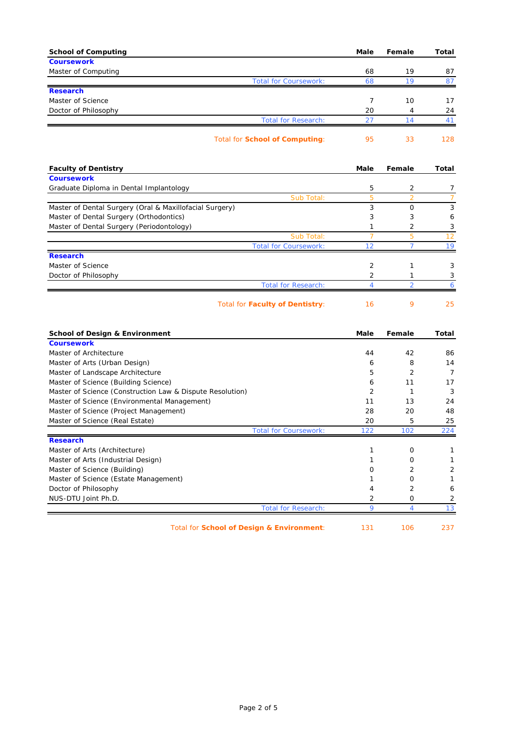| <b>School of Computing</b>                              | <b>Male</b>    | Female                   | <b>Total</b>   |
|---------------------------------------------------------|----------------|--------------------------|----------------|
| <b>Coursework</b>                                       |                |                          |                |
| Master of Computing                                     | 68             | 19                       | 87             |
| <b>Total for Coursework:</b>                            | 68             | 19                       | 87             |
| <b>Research</b>                                         |                |                          |                |
| Master of Science                                       | 7              | 10                       | 17             |
| Doctor of Philosophy                                    | 20             | 4                        | 24             |
| <b>Total for Research:</b>                              | 27             | 14                       | 41             |
| <b>Total for School of Computing:</b>                   | 95             | 33                       | 128            |
| <b>Faculty of Dentistry</b>                             | <b>Male</b>    | Female                   | <b>Total</b>   |
| <b>Coursework</b>                                       |                |                          |                |
| Graduate Diploma in Dental Implantology                 | 5              | 2                        | 7              |
| Sub Total:                                              | 5              | $\overline{2}$           | $\overline{7}$ |
| Master of Dental Surgery (Oral & Maxillofacial Surgery) | 3              | $\mathbf 0$              | 3              |
| Master of Dental Surgery (Orthodontics)                 | 3              | 3                        | 6              |
| Master of Dental Surgery (Periodontology)               | 1              | 2                        | 3              |
| Sub Total:                                              | $\overline{7}$ | 5                        | 12             |
| <b>Total for Coursework:</b>                            | 12             | $\overline{7}$           | 19             |
| <b>Research</b>                                         |                |                          |                |
| Master of Science                                       | 2              | 1                        | 3              |
| Doctor of Philosophy                                    | 2              | 1                        | 3              |
| <b>Total for Research:</b>                              | Δ              | $\overline{\mathcal{L}}$ | 6              |
| <b>Total for Faculty of Dentistry:</b>                  | 16             | 9                        | 25             |
|                                                         |                |                          |                |
| School of Design & Environment                          | Malo           | Eamala                   | Total          |

| School of Design & Environment                            |                              | Male | Female   | Total |
|-----------------------------------------------------------|------------------------------|------|----------|-------|
| <b>Coursework</b>                                         |                              |      |          |       |
| Master of Architecture                                    |                              | 44   | 42       | 86    |
| Master of Arts (Urban Design)                             |                              | 6    | 8        | 14    |
| Master of Landscape Architecture                          |                              | 5    | 2        |       |
| Master of Science (Building Science)                      |                              | 6    | 11       | 17    |
| Master of Science (Construction Law & Dispute Resolution) |                              | 2    |          | 3     |
| Master of Science (Environmental Management)              |                              | 11   | 13       | 24    |
| Master of Science (Project Management)                    |                              | 28   | 20       | 48    |
| Master of Science (Real Estate)                           |                              | 20   | 5        | 25    |
|                                                           | <b>Total for Coursework:</b> | 122  | 102      | 224   |
| <b>Research</b>                                           |                              |      |          |       |
| Master of Arts (Architecture)                             |                              |      | $\Omega$ |       |
| Master of Arts (Industrial Design)                        |                              |      | O        |       |
| Master of Science (Building)                              |                              | Ω    | 2        | 2     |
| Master of Science (Estate Management)                     |                              |      | $\Omega$ |       |
| Doctor of Philosophy                                      |                              |      | 2        | 6     |
| NUS-DTU Joint Ph.D.                                       |                              | 2    | 0        | 2     |
|                                                           | <b>Total for Research:</b>   | Q    |          |       |
|                                                           |                              |      |          |       |

Total for **School of Design & Environment**: 131 106 237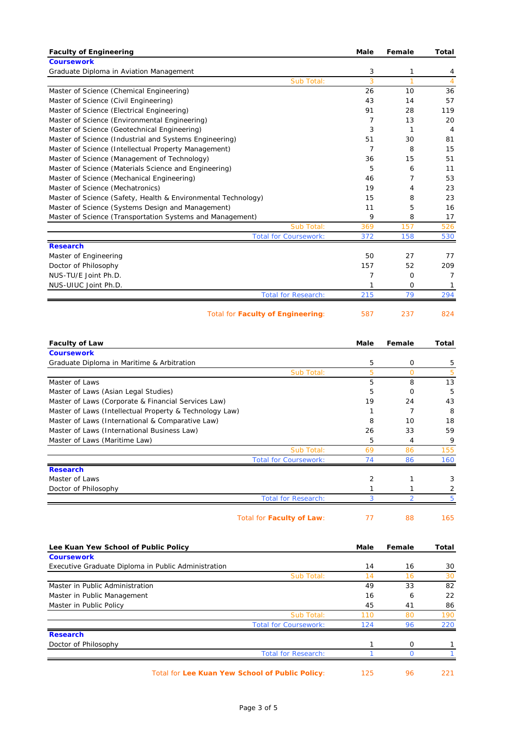| <b>Faculty of Engineering</b>                                 | Male        | Female         | Total             |
|---------------------------------------------------------------|-------------|----------------|-------------------|
| <b>Coursework</b>                                             |             |                |                   |
| Graduate Diploma in Aviation Management                       | 3           | 1              | 4                 |
| Sub Total:                                                    | 3           | $\mathbf{1}$   | $\overline{4}$    |
| Master of Science (Chemical Engineering)                      | 26          | 10             | 36                |
| Master of Science (Civil Engineering)                         | 43          | 14             | 57                |
| Master of Science (Electrical Engineering)                    | 91          | 28             | 119               |
| Master of Science (Environmental Engineering)                 | 7           | 13             | 20                |
| Master of Science (Geotechnical Engineering)                  | 3           | $\mathbf{1}$   | 4                 |
| Master of Science (Industrial and Systems Engineering)        | 51          | 30             | 81                |
| Master of Science (Intellectual Property Management)          | 7           | 8              | 15                |
| Master of Science (Management of Technology)                  | 36          | 15             | 51                |
| Master of Science (Materials Science and Engineering)         | 5           | 6              | 11                |
| Master of Science (Mechanical Engineering)                    | 46          | $\overline{7}$ | 53                |
| Master of Science (Mechatronics)                              | 19          | 4              | 23                |
| Master of Science (Safety, Health & Environmental Technology) | 15          | 8              | 23                |
| Master of Science (Systems Design and Management)             | 11          | 5              | 16                |
| Master of Science (Transportation Systems and Management)     | 9           | 8              | 17                |
| Sub Total:                                                    | 369         | 157            | 526               |
| <b>Total for Coursework:</b>                                  | 372         | 158            | 530               |
| <b>Research</b>                                               |             |                |                   |
| Master of Engineering                                         | 50          | 27             | 77                |
| Doctor of Philosophy                                          | 157         | 52             | 209               |
| NUS-TU/E Joint Ph.D.                                          | 7           | 0              | 7                 |
| NUS-UIUC Joint Ph.D.                                          | 1           | 0<br>79        | 1                 |
| <b>Total for Research:</b>                                    | 215         |                | 294               |
| Total for <b>Faculty of Engineering</b> :                     | 587         | 237            | 824               |
|                                                               |             |                |                   |
| <b>Faculty of Law</b>                                         | Male        | Female         | Total             |
| <b>Coursework</b>                                             |             |                |                   |
|                                                               |             |                |                   |
| Graduate Diploma in Maritime & Arbitration                    | 5           | 0              | 5                 |
| Sub Total:                                                    | 5           | $\mathbf{O}$   | 5                 |
| Master of Laws                                                | 5           | 8              | 13                |
| Master of Laws (Asian Legal Studies)                          | 5           | 0              | 5                 |
| Master of Laws (Corporate & Financial Services Law)           | 19          | 24             | 43                |
| Master of Laws (Intellectual Property & Technology Law)       | 1           | $\overline{7}$ | 8                 |
| Master of Laws (International & Comparative Law)              | 8           | 10             | 18                |
| Master of Laws (International Business Law)                   | 26          | 33             | 59                |
| Master of Laws (Maritime Law)                                 | b           | 4              | 9                 |
| Sub Total:                                                    | 69          | 86             | 155               |
| <b>Total for Coursework:</b>                                  | 74          | 86             | 160               |
| <b>Research</b>                                               |             |                |                   |
| Master of Laws                                                | 2           | $\mathbf{1}$   | 3                 |
| Doctor of Philosophy                                          | 1           | $\mathbf{1}$   | 2                 |
| <b>Total for Research:</b>                                    | 3           | $\overline{2}$ | 5                 |
| Total for Faculty of Law:                                     | 77          | 88             | 165               |
| Lee Kuan Yew School of Public Policy                          | <b>Male</b> | Female         |                   |
| <b>Coursework</b>                                             |             |                |                   |
| Executive Graduate Diploma in Public Administration           | 14          | 16             | 30                |
| Sub Total:                                                    | 14          | 16             | 30                |
| Master in Public Administration                               | 49          | 33             | 82                |
| Master in Public Management                                   | 16          | 6              | 22                |
| Master in Public Policy                                       | 45          | 41             | 86                |
| Sub Total:                                                    | 110         | 80             | 190               |
| <b>Total for Coursework:</b>                                  | 124         | 96             | 220               |
| <b>Research</b>                                               |             |                |                   |
| Doctor of Philosophy                                          | 1           | 0              | 1                 |
| <b>Total for Research:</b>                                    | 1           | $\mathbf{O}$   | <b>Total</b><br>1 |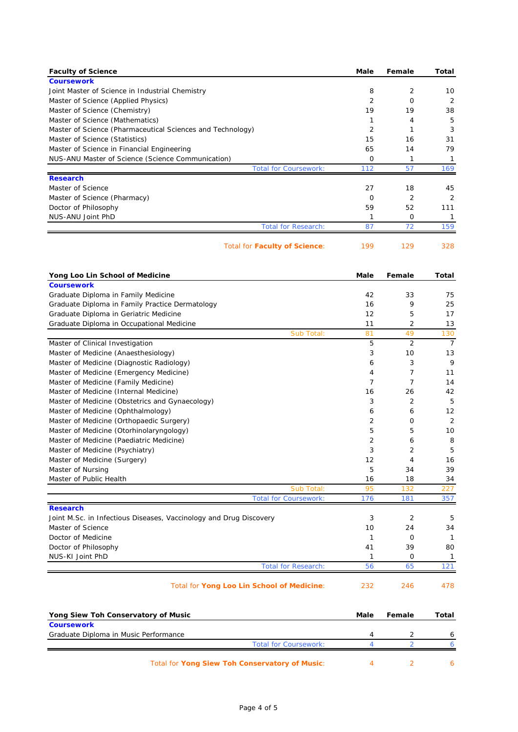| <b>Faculty of Science</b>                                                             | Male                | Female              | Total          |
|---------------------------------------------------------------------------------------|---------------------|---------------------|----------------|
| <b>Coursework</b>                                                                     |                     |                     |                |
| Joint Master of Science in Industrial Chemistry                                       | 8                   | 2                   | 10             |
| Master of Science (Applied Physics)                                                   | $\overline{2}$      | 0                   | 2              |
| Master of Science (Chemistry)                                                         | 19                  | 19                  | 38             |
| Master of Science (Mathematics)                                                       | 1                   | 4                   | 5              |
| Master of Science (Pharmaceutical Sciences and Technology)                            | $\overline{2}$      | 1                   | 3              |
| Master of Science (Statistics)                                                        | 15                  | 16                  | 31             |
| Master of Science in Financial Engineering                                            | 65                  | 14                  | 79             |
| NUS-ANU Master of Science (Science Communication)                                     | 0                   | 1                   | $\mathbf{1}$   |
| <b>Total for Coursework:</b><br><b>Research</b>                                       | 112                 | 57                  | 169            |
| Master of Science                                                                     | 27                  | 18                  | 45             |
| Master of Science (Pharmacy)                                                          | $\mathbf{O}$        | $\overline{2}$      | 2              |
| Doctor of Philosophy                                                                  | 59                  | 52                  | 111            |
| NUS-ANU Joint PhD                                                                     | 1                   | 0                   | $\mathbf{1}$   |
| <b>Total for Research:</b>                                                            | 87                  | 72                  | 159            |
| <b>Total for Faculty of Science:</b>                                                  | 199                 | 129                 | 328            |
|                                                                                       |                     |                     |                |
| Yong Loo Lin School of Medicine                                                       | Male                | Female              | Total          |
| <b>Coursework</b>                                                                     |                     |                     |                |
| Graduate Diploma in Family Medicine                                                   | 42                  | 33                  | 75             |
| Graduate Diploma in Family Practice Dermatology                                       | 16                  | 9                   | 25             |
| Graduate Diploma in Geriatric Medicine                                                | 12                  | 5                   | 17             |
| Graduate Diploma in Occupational Medicine                                             | 11                  | 2                   | 13             |
| Sub Total:                                                                            | 81                  | 49                  | 130            |
| Master of Clinical Investigation                                                      | 5                   | $\overline{2}$      | $\overline{7}$ |
| Master of Medicine (Anaesthesiology)                                                  | 3                   | 10                  | 13             |
| Master of Medicine (Diagnostic Radiology)                                             | 6                   | 3                   | 9              |
| Master of Medicine (Emergency Medicine)                                               | 4<br>$\overline{7}$ | 7<br>$\overline{7}$ | 11             |
| Master of Medicine (Family Medicine)                                                  |                     |                     | 14             |
| Master of Medicine (Internal Medicine)                                                | 16<br>3             | 26<br>2             | 42<br>5        |
| Master of Medicine (Obstetrics and Gynaecology)<br>Master of Medicine (Ophthalmology) | 6                   | 6                   | 12             |
| Master of Medicine (Orthopaedic Surgery)                                              | $\overline{2}$      | 0                   | 2              |
| Master of Medicine (Otorhinolaryngology)                                              | 5                   | 5                   | 10             |
| Master of Medicine (Paediatric Medicine)                                              | 2                   | 6                   | 8              |
| Master of Medicine (Psychiatry)                                                       | 3                   | 2                   | 5              |
| Master of Medicine (Surgery)                                                          | 12                  | 4                   | 16             |
| Master of Nursing                                                                     | 5                   | 34                  | 39             |
| Master of Public Health                                                               | 16                  | 18                  | 34             |
| Sub Total:                                                                            | 95                  | 132                 | 227            |
| <b>Total for Coursework:</b>                                                          | 176                 | 181                 | 357            |
| <b>Research</b>                                                                       |                     |                     |                |
| Joint M.Sc. in Infectious Diseases, Vaccinology and Drug Discovery                    | 3                   | 2                   | 5              |
| Master of Science                                                                     | 10                  | 24                  | 34             |
| Doctor of Medicine                                                                    | $\mathbf{1}$        | 0                   | -1             |
| Doctor of Philosophy                                                                  | 41                  | 39                  | 80             |
| NUS-KI Joint PhD                                                                      | 1                   | 0                   | 1              |
| <b>Total for Research:</b>                                                            | 56                  | 65                  | 121            |
|                                                                                       |                     |                     |                |

| Yong Siew Toh Conservatory of Music            | Male | Female | Total |
|------------------------------------------------|------|--------|-------|
| <b>Coursework</b>                              |      |        |       |
| Graduate Diploma in Music Performance          |      |        |       |
| <b>Total for Coursework:</b>                   |      |        |       |
| Total for Yong Siew Toh Conservatory of Music: |      |        |       |

Page 4 of 5